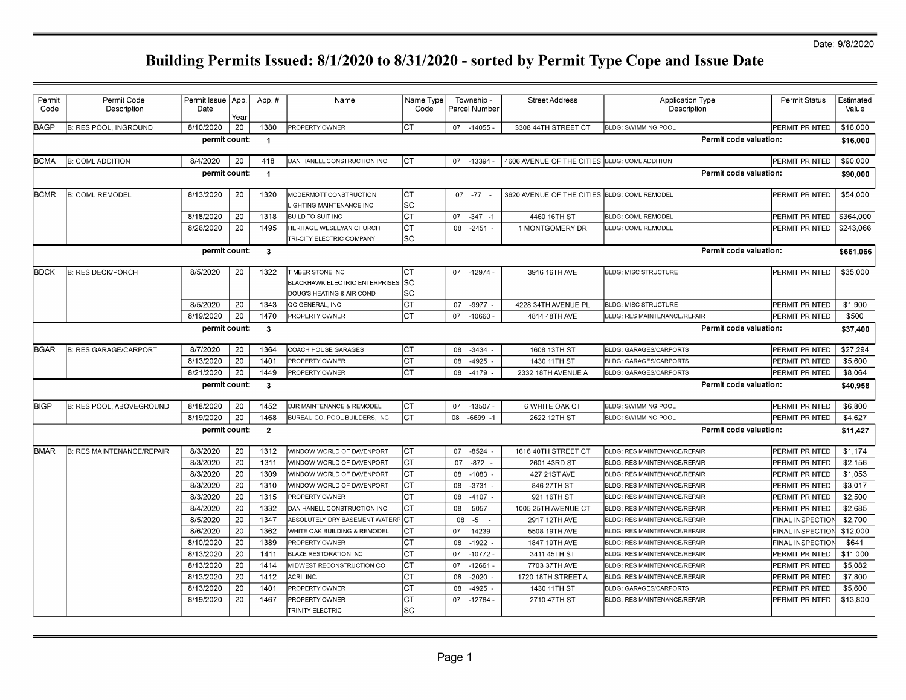| Permit<br>Code | Permit Code<br>Description       | Permit Issue   App.<br>Date | Year | App.#                   | Name                            | Name Type<br>Code | Township -<br>Parcel Number | <b>Street Address</b>                        | <b>Application Type</b><br>Description | <b>Permit Status</b>    | Estimated<br>Value |
|----------------|----------------------------------|-----------------------------|------|-------------------------|---------------------------------|-------------------|-----------------------------|----------------------------------------------|----------------------------------------|-------------------------|--------------------|
| <b>IBAGP</b>   | <b>B: RES POOL, INGROUND</b>     | 8/10/2020                   | 20   | 1380                    | <b>PROPERTY OWNER</b>           | Іст               | 07 -14055 -                 | 3308 44TH STREET CT                          | <b>BLDG: SWIMMING POOL</b>             | <b>PERMIT PRINTED</b>   | \$16,000           |
|                |                                  | permit count:               |      | $\overline{1}$          |                                 |                   |                             |                                              | Permit code valuation:                 |                         | \$16,000           |
| <b>BCMA</b>    | <b>B: COML ADDITION</b>          | 8/4/2020                    | 20   | 418                     | DAN HANELL CONSTRUCTION INC     | Іст               | 07 -13394                   | 4606 AVENUE OF THE CITIES BLDG: COMLADDITION |                                        | PERMIT PRINTED          | \$90,000           |
|                |                                  | permit count:               |      | $\overline{1}$          |                                 |                   |                             |                                              | Permit code valuation:                 |                         | \$90,000           |
| BCMR           | <b>B: COML REMODEL</b>           | 8/13/2020                   | 20   | 1320                    | MCDERMOTT CONSTRUCTION          | Iст               | $07 - 77 -$                 | 3620 AVENUE OF THE CITIES BLDG: COML REMODEL |                                        | PERMIT PRINTED          | \$54,000           |
|                |                                  |                             |      |                         | <b>IGHTING MAINTENANCE INC</b>  | lsc               |                             |                                              |                                        |                         |                    |
|                |                                  | 8/18/2020                   | 20   | 1318                    | BUILD TO SUIT INC               | Іст               | 07<br>$-347 - 1$            | 4460 16TH ST                                 | <b>BLDG: COML REMODEL</b>              | PERMIT PRINTED          | \$364,000          |
|                |                                  | 8/26/2020                   | 20   | 1495                    | <b>HERITAGE WESLEYAN CHURCH</b> | Iст               | 08<br>-2451 -               | 1 MONTGOMERY DR                              | <b>BLDG: COML REMODEL</b>              | PERMIT PRINTED          | \$243,066          |
|                |                                  |                             |      |                         | TRI-CITY ELECTRIC COMPANY       | lsc               |                             |                                              |                                        |                         |                    |
|                |                                  | permit count:               |      | $\overline{\mathbf{3}}$ |                                 |                   |                             |                                              | Permit code valuation:                 |                         | \$661,066          |
| <b>IBDCK</b>   | <b>B: RES DECK/PORCH</b>         | 8/5/2020                    | 20   | 1322                    | TIMBER STONE INC.               | Іст               | 07 -12974 -                 | 3916 16TH AVE                                | <b>BLDG: MISC STRUCTURE</b>            | PERMIT PRINTED          | \$35,000           |
|                |                                  |                             |      |                         | BLACKHAWK ELECTRIC ENTERPRISES  | <b>S</b> c        |                             |                                              |                                        |                         |                    |
|                |                                  |                             |      |                         | DOUG'S HEATING & AIR COND       | lsc               |                             |                                              |                                        |                         |                    |
|                |                                  | 8/5/2020                    | 20   | 1343                    | QC GENERAL, INC                 | lст               | $-9977 -$<br>07             | 4228 34TH AVENUE PL                          | <b>BLDG: MISC STRUCTURE</b>            | <b>PERMIT PRINTED</b>   | \$1,900            |
|                |                                  | 8/19/2020                   | 20   | 1470                    | PROPERTY OWNER                  | Іст               | 07<br>$-10660$              | 4814 48TH AVE                                | BLDG: RES MAINTENANCE/REPAIR           | PERMIT PRINTED          | \$500              |
|                |                                  | permit count:               |      | $\overline{\mathbf{3}}$ |                                 |                   |                             |                                              | Permit code valuation:                 |                         | \$37,400           |
| IBGAR          | <b>B: RES GARAGE/CARPORT</b>     | 8/7/2020                    | 20   | 1364                    | COACH HOUSE GARAGES             | Iст               | 08<br>$-3434$               | 1608 13TH ST                                 | <b>BLDG: GARAGES/CARPORTS</b>          | PERMIT PRINTED          | \$27,294           |
|                |                                  | 8/13/2020                   | 20   | 1401                    | PROPERTY OWNER                  | Іст               | 08<br>$-4925$               | 1430 11 TH ST                                | <b>BLDG: GARAGES/CARPORTS</b>          | PERMIT PRINTED          | \$5,600            |
|                |                                  | 8/21/2020                   | 20   | 1449                    | PROPERTY OWNER                  | Іст               | 08<br>$-4179$ -             | 2332 18TH AVENUE A                           | <b>BLDG: GARAGES/CARPORTS</b>          | PERMIT PRINTED          | \$8,064            |
|                |                                  | permit count:               |      | $\overline{\mathbf{3}}$ |                                 |                   |                             |                                              | Permit code valuation:                 |                         | \$40,958           |
| BIGP           | <b>B: RES POOL, ABOVEGROUND</b>  | 8/18/2020                   | 20   | 1452                    | DJR MAINTENANCE & REMODEL       | Iст               | $-13507 -$<br>07            | 6 WHITE OAK CT                               | <b>BLDG: SWIMMING POOL</b>             | PERMIT PRINTED          | \$6,800            |
|                |                                  | 8/19/2020                   | 20   | 1468                    | BUREAU CO. POOL BUILDERS, INC   | Іст               | 08<br>$-6699 - 1$           | 2622 12TH ST                                 | <b>BLDG: SWIMMING POOL</b>             | PERMIT PRINTED          | \$4,627            |
|                |                                  | permit count:               |      | $\overline{2}$          |                                 |                   |                             |                                              | Permit code valuation:                 |                         | \$11,427           |
| <b>IBMAR</b>   | <b>B: RES MAINTENANCE/REPAIR</b> | 8/3/2020                    | 20   | 1312                    | WINDOW WORLD OF DAVENPORT       | Іст               | $-8524 -$<br>07             | 1616 40TH STREET CT                          | BLDG: RES MAINTENANCE/REPAIR           | PERMIT PRINTED          | \$1,174            |
|                |                                  | 8/3/2020                    | 20   | 1311                    | WINDOW WORLD OF DAVENPORT       | Iст               | 07<br>$-872 -$              | 2601 43RD ST                                 | BLDG: RES MAINTENANCE/REPAIR           | PERMIT PRINTED          | \$2,156            |
|                |                                  | 8/3/2020                    | 20   | 1309                    | WINDOW WORLD OF DAVENPORT       | Iст               | 08<br>$-1083$               | 427 21ST AVE                                 | BLDG: RES MAINTENANCE/REPAIR           | PERMIT PRINTED          | \$1,053            |
|                |                                  | 8/3/2020                    | 20   | 1310                    | WINDOW WORLD OF DAVENPORT       | Iст               | $-3731$<br>08               | 846 27TH ST                                  | BLDG: RES MAINTENANCE/REPAIR           | PERMIT PRINTED          | \$3,017            |
|                |                                  | 8/3/2020                    | 20   | 1315                    | PROPERTY OWNER                  | Iст               | $-4107 -$<br>08             | 921 16TH ST                                  | BLDG: RES MAINTENANCE/REPAIR           | <b>PERMIT PRINTED</b>   | \$2,500            |
|                |                                  | 8/4/2020                    | 20   | 1332                    | DAN HANELL CONSTRUCTION INC     | Iст               | 80<br>$-5057 -$             | 1005 25TH AVENUE CT                          | BLDG: RES MAINTENANCE/REPAIR           | PERMIT PRINTED          | \$2.685            |
|                |                                  | 8/5/2020                    | 20   | 1347                    | ABSOLUTELY DRY BASEMENT WATERP  | ICT               | 08<br>$-5$                  | 2917 12TH AVE                                | BLDG: RES MAINTENANCE/REPAIR           | FINAL INSPECTION        | \$2,700            |
|                |                                  | 8/6/2020                    | 20   | 1362                    | WHITE OAK BUILDING & REMODEL    | Іст               | 07<br>$-14239$              | 5508 19TH AVE                                | BLDG: RES MAINTENANCE/REPAIR           | FINAL INSPECTION        | \$12,000           |
|                |                                  | 8/10/2020                   | 20   | 1389                    | PROPERTY OWNER                  | Iст               | 08<br>$-1922$               | 1847 19TH AVE                                | BLDG: RES MAINTENANCE/REPAIR           | <b>FINAL INSPECTION</b> | \$641              |
|                |                                  | 8/13/2020                   | 20   | 1411                    | <b>BLAZE RESTORATION INC</b>    | Іст               | 07<br>$-10772 -$            | 3411 45TH ST                                 | BLDG: RES MAINTENANCE/REPAIR           | PERMIT PRINTED          | \$11,000           |
|                |                                  | 8/13/2020                   | 20   | 1414                    | MIDWEST RECONSTRUCTION CO       | Iст               | 07<br>$-12661$              | 7703 37TH AVE                                | BLDG: RES MAINTENANCE/REPAIR           | PERMIT PRINTED          | \$5.082            |
|                |                                  | 8/13/2020                   | 20   | 1412                    | ACRI, INC.                      | Iст               | $-2020$<br>08               | 1720 18TH STREET A                           | BLDG: RES MAINTENANCE/REPAIR           | PERMIT PRINTED          | \$7,800            |
|                |                                  | 8/13/2020                   | 20   | 1401                    | PROPERTY OWNER                  | Iст               | 08<br>$-4925$               | 1430 11 TH ST                                | <b>BLDG: GARAGES/CARPORTS</b>          | PERMIT PRINTED          | \$5,600            |
|                |                                  | 8/19/2020                   | 20   | 1467                    | PROPERTY OWNER                  | Iст               | -12764 -<br>07              | 2710 47TH ST                                 | BLDG: RES MAINTENANCE/REPAIR           | PERMIT PRINTED          | \$13,800           |
|                |                                  |                             |      |                         | TRINITY ELECTRIC                | lsc               |                             |                                              |                                        |                         |                    |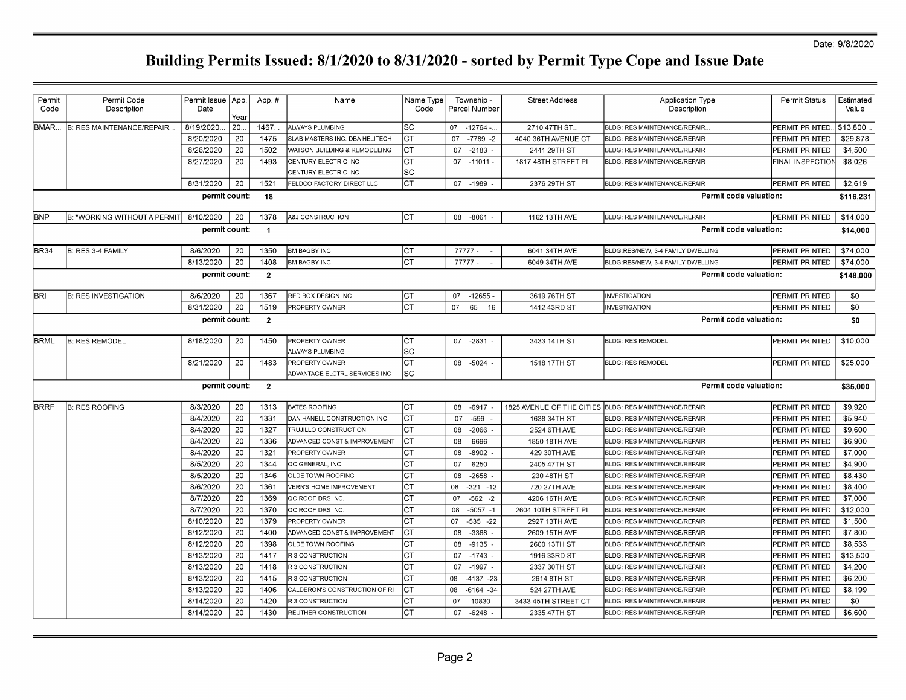| Permit      | Permit Code                       | Permit Issue   App. |      | App.#          | Name                                         | Name Type | Township -         | <b>Street Address</b>     | <b>Application Type</b>             | <b>Permit Status</b> | Estimated |
|-------------|-----------------------------------|---------------------|------|----------------|----------------------------------------------|-----------|--------------------|---------------------------|-------------------------------------|----------------------|-----------|
| Code        | Description                       | Date                |      |                |                                              | Code      | Parcel Number      |                           | Description                         |                      | Value     |
|             |                                   |                     | Year |                |                                              |           |                    |                           |                                     |                      |           |
| BMAR        | <b>B: RES MAINTENANCE/REPAIR.</b> | 8/19/2020.          | 20.  | 1467           | ALWAYS PLUMBING                              | SC        | 07 -12764 -.       | 2710 47TH ST              | BLDG: RES MAINTENANCE/REPAIR.       | PERMIT PRINTED.      | \$13,800  |
|             |                                   | 8/20/2020           | 20   | 1475           | SLAB MASTERS INC. DBA HELITECH               | CТ        | 07<br>$-7789 - 2$  | 4040 36TH AVENUE CT       | <b>BLDG: RES MAINTENANCE/REPAIR</b> | PERMIT PRINTED       | \$29,878  |
|             |                                   | 8/26/2020           | 20   | 1502           | WATSON BUILDING & REMODELING                 | CТ        | $-2183$<br>07      | 2441 29TH ST              | BLDG: RES MAINTENANCE/REPAIR        | PERMIT PRINTED       | \$4,500   |
|             |                                   | 8/27/2020           | 20   | 1493           | CENTURY ELECTRIC INC<br>CENTURY ELECTRIC INC | СT<br>SC  | $-11011$<br>07     | 1817 48TH STREET PL       | <b>BLDG: RES MAINTENANCE/REPAIR</b> | FINAL INSPECTION     | \$8,026   |
|             |                                   | 8/31/2020           | 20   | 1521           | FELDCO FACTORY DIRECT LLC                    | <b>CT</b> | 07 - 1989          | 2376 29TH ST              | <b>BLDG: RES MAINTENANCE/REPAIR</b> | PERMIT PRINTED       | \$2,619   |
|             |                                   | permit count:       |      |                |                                              |           |                    |                           | Permit code valuation:              |                      |           |
|             |                                   |                     |      | 18             |                                              |           |                    |                           |                                     |                      | \$116.231 |
| <b>IBNP</b> | B: "WORKING WITHOUT A PERMIT      | 8/10/2020           | 20   | 1378           | A&J CONSTRUCTION                             | Iст       | 08 -8061 -         | 1162 13TH AVE             | <b>BLDG: RES MAINTENANCE/REPAIR</b> | PERMIT PRINTED       | \$14,000  |
|             |                                   | permit count:       |      | $\mathbf{1}$   |                                              |           |                    |                           | Permit code valuation:              |                      | \$14,000  |
|             |                                   |                     |      |                |                                              |           |                    |                           |                                     |                      |           |
| BR34        | B: RES 3-4 FAMILY                 | 8/6/2020            | 20   | 1350           | <b>BM BAGBY INC</b>                          | Iст       | 77777 -            | 6041 34TH AVE             | BLDG:RES/NEW, 3-4 FAMILY DWELLING   | PERMIT PRINTED       | \$74,000  |
|             |                                   | 8/13/2020           | 20   | 1408           | <b>BM BAGBY INC</b>                          | СT        | 77777 -            | 6049 34TH AVE             | BLDG:RES/NEW, 3-4 FAMILY DWELLING   | PERMIT PRINTED       | \$74,000  |
|             |                                   | permit count:       |      | $\overline{2}$ |                                              |           |                    |                           | Permit code valuation:              |                      | \$148,000 |
| <b>BRI</b>  | <b>B: RES INVESTIGATION</b>       | 8/6/2020            | 20   | 1367           | RED BOX DESIGN INC                           | Iст       | 07<br>$-12655 -$   | 3619 76TH ST              | INVESTIGATION                       | PERMIT PRINTED       | \$0       |
|             |                                   | 8/31/2020           | 20   | 1519           | PROPERTY OWNER                               | СT        | 07<br>$-65 - 16$   | 1412 43RD ST              | <b>INVESTIGATION</b>                | PERMIT PRINTED       | \$0       |
|             |                                   | permit count:       |      | $\overline{2}$ |                                              |           |                    |                           | Permit code valuation:              |                      | \$0       |
|             |                                   |                     |      |                |                                              |           |                    |                           |                                     |                      |           |
| <b>BRML</b> | <b>B: RES REMODEL</b>             | 8/18/2020           | 20   | 1450           | PROPERTY OWNER                               | СT        | 07 -2831           | 3433 14TH ST              | <b>BLDG: RES REMODEL</b>            | PERMIT PRINTED       | \$10,000  |
|             |                                   |                     |      |                | ALWAYS PLUMBING                              | SC        |                    |                           |                                     |                      |           |
|             |                                   | 8/21/2020           | 20   | 1483           | PROPERTY OWNER                               | <b>CT</b> | 08 -5024           | 1518 17TH ST              | <b>BLDG: RES REMODEL</b>            | PERMIT PRINTED       | \$25,000  |
|             |                                   |                     |      |                | ADVANTAGE ELCTRL SERVICES INC                | lsc       |                    |                           |                                     |                      |           |
|             |                                   | permit count:       |      | $\overline{2}$ |                                              |           |                    |                           | Permit code valuation:              |                      | \$35,000  |
| <b>BRRF</b> | <b>B: RES ROOFING</b>             | 8/3/2020            | 20   | 1313           | <b>BATES ROOFING</b>                         | CТ        | 08<br>$-6917$      | 1825 AVENUE OF THE CITIES | <b>BLDG: RES MAINTENANCE/REPAIR</b> | PERMIT PRINTED       | \$9.920   |
|             |                                   | 8/4/2020            | 20   | 1331           | DAN HANELL CONSTRUCTION INC                  | Iст       | 07<br>$-599$       | 1638 34TH ST              | BLDG: RES MAINTENANCE/REPAIR        | PERMIT PRINTED       | \$5,940   |
|             |                                   | 8/4/2020            | 20   | 1327           | TRUJILLO CONSTRUCTION                        | CТ        | $-2066$<br>08      | 2524 6TH AVE              | <b>BLDG: RES MAINTENANCE/REPAIR</b> | PERMIT PRINTED       | \$9,600   |
|             |                                   | 8/4/2020            | 20   | 1336           | <b>ADVANCED CONST &amp; IMPROVEMENT</b>      | CТ        | 08<br>$-6696$      | 1850 18TH AVE             | BLDG: RES MAINTENANCE/REPAIR        | PERMIT PRINTED       | \$6,900   |
|             |                                   | 8/4/2020            | 20   | 1321           | PROPERTY OWNER                               | CТ        | 08<br>$-8902$      | 429 30TH AVE              | BLDG: RES MAINTENANCE/REPAIR        | PERMIT PRINTED       | \$7,000   |
|             |                                   | 8/5/2020            | 20   | 1344           | QC GENERAL, INC                              | CТ        | $-6250$<br>07      | 2405 47TH ST              | <b>BLDG: RES MAINTENANCE/REPAIR</b> | PERMIT PRINTED       | \$4,900   |
|             |                                   | 8/5/2020            | 20   | 1346           | OLDE TOWN ROOFING                            | Iст       | 08<br>$-2658$      | 230 48TH ST               | BLDG: RES MAINTENANCE/REPAIR        | PERMIT PRINTED       | \$8,430   |
|             |                                   | 8/6/2020            | 20   | 1361           | <b>VERN'S HOME IMPROVEMENT</b>               | ст        | $-321 - 12$<br>08  | 720 27TH AVE              | BLDG: RES MAINTENANCE/REPAIR        | PERMIT PRINTED       | \$8,400   |
|             |                                   | 8/7/2020            | 20   | 1369           | QC ROOF DRS INC                              | CТ        | 07<br>$-562 - 2$   | 4206 16TH AVE             | BLDG: RES MAINTENANCE/REPAIR        | PERMIT PRINTED       | \$7,000   |
|             |                                   | 8/7/2020            | 20   | 1370           | QC ROOF DRS INC.                             | CТ        | $-5057 - 1$<br>08  | 2604 10TH STREET PL       | <b>BLDG: RES MAINTENANCE/REPAIR</b> | PERMIT PRINTED       | \$12,000  |
|             |                                   | 8/10/2020           | 20   | 1379           | PROPERTY OWNER                               | CТ        | $-535 -22$<br>07   | 2927 13TH AVE             | BLDG: RES MAINTENANCE/REPAIR        | PERMIT PRINTED       | \$1,500   |
|             |                                   | 8/12/2020           | 20   | 1400           | <b>ADVANCED CONST &amp; IMPROVEMENT</b>      | IСТ       | 08<br>$-3368$      | 2609 15TH AVE             | BLDG: RES MAINTENANCE/REPAIR        | PERMIT PRINTED       | \$7,800   |
|             |                                   | 8/12/2020           | 20   | 1398           | OLDE TOWN ROOFING                            | CТ        | 08<br>$-9135$      | 2600 13TH ST              | BLDG: RES MAINTENANCE/REPAIR        | PERMIT PRINTED       | \$8,533   |
|             |                                   | 8/13/2020           | 20   | 1417           | R 3 CONSTRUCTION                             | CТ        | 07<br>$-1743$      | 1916 33RD ST              | <b>BLDG: RES MAINTENANCE/REPAIR</b> | PERMIT PRINTED       | \$13,500  |
|             |                                   | 8/13/2020           | 20   | 1418           | R 3 CONSTRUCTION                             | CТ        | 07<br>$-1997 -$    | 2337 30TH ST              | BLDG: RES MAINTENANCE/REPAIR        | PERMIT PRINTED       | \$4,200   |
|             |                                   | 8/13/2020           | 20   | 1415           | R 3 CONSTRUCTION                             | CТ        | $-4137 -23$<br>80  | 2614 8TH ST               | <b>BLDG: RES MAINTENANCE/REPAIR</b> | PERMIT PRINTED       | \$6,200   |
|             |                                   | 8/13/2020           | 20   | 1406           | CALDERON'S CONSTRUCTION OF RI                | CТ        | $-6164 - 34$<br>80 | 524 27TH AVE              | BLDG: RES MAINTENANCE/REPAIR        | PERMIT PRINTED       | \$8,199   |
|             |                                   | 8/14/2020           | 20   | 1420           | R 3 CONSTRUCTION                             | CТ        | $-10830$<br>07     | 3433 45TH STREET CT       | BLDG: RES MAINTENANCE/REPAIR        | PERMIT PRINTED       | \$0       |
|             |                                   | 8/14/2020           | 20   | 1430           | REUTHER CONSTRUCTION                         | СT        | $-6248$<br>07      | 2335 47TH ST              | <b>BLDG: RES MAINTENANCE/REPAIR</b> | PERMIT PRINTED       | \$6,600   |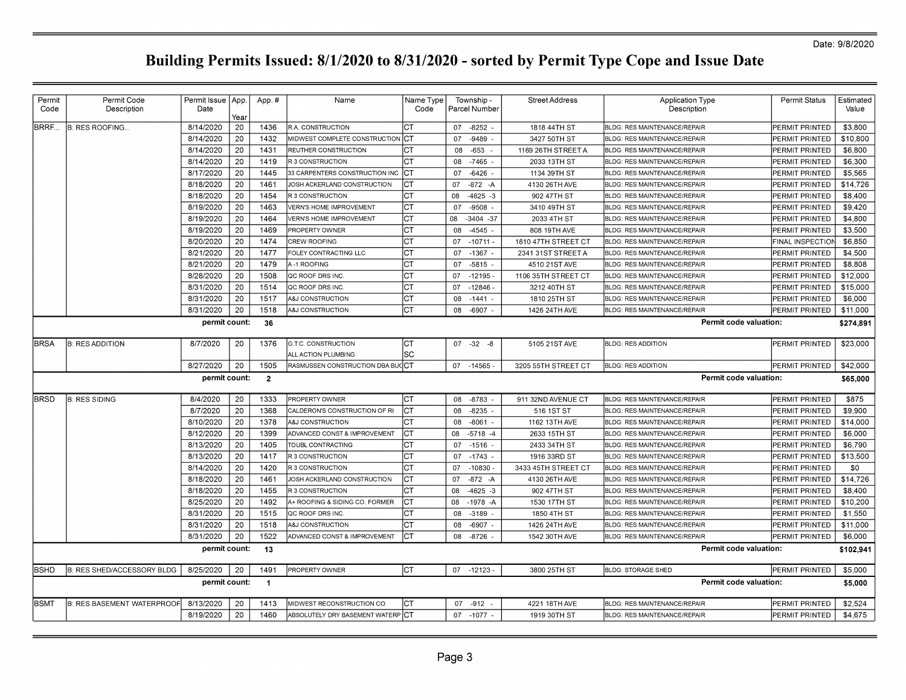| Permit<br>Code | Permit Code<br>Description        | Permit Issue   App.<br>Date | Year | App.#          | Name                                    | Name Type<br>Code | Township -<br>Parcel Number | <b>Street Address</b> | <b>Application Type</b><br>Description | <b>Permit Status</b>    | Estimated<br>Value |
|----------------|-----------------------------------|-----------------------------|------|----------------|-----------------------------------------|-------------------|-----------------------------|-----------------------|----------------------------------------|-------------------------|--------------------|
| BRRF           | <b>B: RES ROOFING</b>             | 8/14/2020                   | 20   | 1436           | R.A. CONSTRUCTION                       | CТ                | $-8252$<br>07               | 1818 44TH ST          | <b>BLDG: RES MAINTENANCE/REPAIR</b>    | PERMIT PRINTED          | \$3,800            |
|                |                                   | 8/14/2020                   | 20   | 1432           | MIDWEST COMPLETE CONSTRUCTION CT        |                   | $-9489$<br>07               | 3427 50TH ST          | BLDG: RES MAINTENANCE/REPAIR           | PERMIT PRINTED          | \$10,800           |
|                |                                   | 8/14/2020                   | 20   | 1431           | REUTHER CONSTRUCTION                    | CТ                | 08<br>$-653$                | 1169 26TH STREET A    | <b>BLDG: RES MAINTENANCE/REPAIR</b>    | PERMIT PRINTED          | \$6,800            |
|                |                                   | 8/14/2020                   | 20   | 1419           | R 3 CONSTRUCTION                        | IСТ               | 08<br>$-7465$               | 2033 13TH ST          | BLDG: RES MAINTENANCE/REPAIR           | PERMIT PRINTED          | \$6,300            |
|                |                                   | 8/17/2020                   | 20   | 1445           | 33 CARPENTERS CONSTRUCTION INC          | Іст               | 07<br>$-6426$               | 1134 39TH ST          | <b>BLDG: RES MAINTENANCE/REPAIR</b>    | PERMIT PRINTED          | \$5,565            |
|                |                                   | 8/18/2020                   | 20   | 1461           | JOSH ACKERLAND CONSTRUCTION             | CТ                | 07<br>$-872 - A$            | 4130 26TH AVE         | BLDG: RES MAINTENANCE/REPAIR           | PERMIT PRINTED          | \$14,726           |
|                |                                   | 8/18/2020                   | 20   | 1454           | R 3 CONSTRUCTION                        | CТ                | 08<br>$-4625 - 3$           | 902 47TH ST           | BLDG: RES MAINTENANCE/REPAIR           | PERMIT PRINTED          | \$8,400            |
|                |                                   | 8/19/2020                   | 20   | 1463           | <b>VERN'S HOME IMPROVEMENT</b>          | CТ                | $-9508$<br>07               | 3410 49TH ST          | <b>BLDG: RES MAINTENANCE/REPAIR</b>    | PERMIT PRINTED          | \$9,420            |
|                |                                   | 8/19/2020                   | 20   | 1464           | <b>VERN'S HOME IMPROVEMENT</b>          | Iст               | 08<br>$-3404 - 37$          | 2033 4TH ST           | BLDG: RES MAINTENANCE/REPAIR           | PERMIT PRINTED          | \$4,800            |
|                |                                   | 8/19/2020                   | 20   | 1469           | PROPERTY OWNER                          | СT                | $-4545$<br>08               | 808 19TH AVE          | BLDG: RES MAINTENANCE/REPAIR           | PERMIT PRINTED          | \$3,500            |
|                |                                   | 8/20/2020                   | 20   | 1474           | CREW ROOFING                            | CТ                | 07<br>$-10711$              | 1810 47TH STREET CT   | BLDG: RES MAINTENANCE/REPAIR           | <b>FINAL INSPECTION</b> | \$6,850            |
|                |                                   | 8/21/2020                   | 20   | 1477           | FOLEY CONTRACTING LLC                   | CТ                | $-1367 -$<br>07             | 2341 31ST STREET A    | BLDG: RES MAINTENANCE/REPAIR           | PERMIT PRINTED          | \$4,500            |
|                |                                   | 8/21/2020                   | 20   | 1479           | A-1 ROOFING                             | CТ                | 07<br>$-5815 -$             | 4510 21ST AVE         | BLDG: RES MAINTENANCE/REPAIR           | PERMIT PRINTED          | \$8,808            |
|                |                                   | 8/28/2020                   | 20   | 1508           | QC ROOF DRS INC                         | СT                | $-12195$<br>07              | 1106 35TH STREET CT   | BLDG: RES MAINTENANCE/REPAIR           | PERMIT PRINTED          | \$12,000           |
|                |                                   | 8/31/2020                   | 20   | 1514           | QC ROOF DRS INC.                        | СT                | 07<br>$-12846$              | 3212 40TH ST          | <b>BLDG: RES MAINTENANCE/REPAIR</b>    | PERMIT PRINTED          | \$15,000           |
|                |                                   | 8/31/2020                   | 20   | 1517           | A&J CONSTRUCTION                        | Iст               | 08<br>$-1441$               | 1810 25TH ST          | <b>BLDG: RES MAINTENANCE/REPAIR</b>    | PERMIT PRINTED          | \$6,000            |
|                |                                   | 8/31/2020                   | 20   | 1518           | <b>A&amp;J CONSTRUCTION</b>             | CТ                | 08<br>$-6907 -$             | 1426 24TH AVE         | <b>BLDG: RES MAINTENANCE/REPAIR</b>    | PERMIT PRINTED          | \$11,000           |
|                |                                   | permit count:               |      | 36             |                                         |                   |                             |                       | Permit code valuation:                 |                         | \$274,891          |
| <b>BRSA</b>    | <b>B: RES ADDITION</b>            | 8/7/2020                    | 20   | 1376           | G.T.C. CONSTRUCTION                     | СT                | $07 -32 -8$                 | 5105 21ST AVE         | <b>BLDG: RES ADDITION</b>              | PERMIT PRINTED          | \$23,000           |
|                |                                   |                             |      |                | ALL ACTION PLUMBING                     | lsc               |                             |                       |                                        |                         |                    |
|                |                                   | 8/27/2020                   | 20   | 1505           | RASMUSSEN CONSTRUCTION DBA BUCCT        |                   | 07<br>-14565                | 3205 55TH STREET CT   | <b>BLDG: RES ADDITION</b>              | PERMIT PRINTED          | \$42,000           |
|                |                                   | permit count:               |      | $\overline{2}$ |                                         |                   |                             |                       | Permit code valuation:                 |                         | \$65,000           |
| <b>BRSD</b>    | <b>B: RES SIDING</b>              | 8/4/2020                    | 20   | 1333           | PROPERTY OWNER                          | Iст               | $-8783$<br>08               | 911 32ND AVENUE CT    | <b>BLDG: RES MAINTENANCE/REPAIR</b>    | PERMIT PRINTED          | \$875              |
|                |                                   | 8/7/2020                    | 20   | 1368           | CALDERON'S CONSTRUCTION OF RI           | CТ                | $-8235$<br>08               | 516 1ST ST            | BLDG: RES MAINTENANCE/REPAIR           | PERMIT PRINTED          | \$9,900            |
|                |                                   | 8/10/2020                   | 20   | 1378           | A&J CONSTRUCTION                        | CТ                | $-8061$<br>08               | 1162 13TH AVE         | BLDG: RES MAINTENANCE/REPAIR           | PERMIT PRINTED          | \$14,000           |
|                |                                   | 8/12/2020                   | 20   | 1399           | <b>ADVANCED CONST &amp; IMPROVEMENT</b> | Iст               | $-5718 - 4$<br>08           | 2633 15TH ST          | <b>BLDG: RES MAINTENANCE/REPAIR</b>    | PERMIT PRINTED          | \$6,000            |
|                |                                   | 8/13/2020                   | 20   | 1405           | TOUBL CONTRACTING                       | CТ                | 07<br>$-1516$               | 2433 34TH ST          | BLDG: RES MAINTENANCE/REPAIR           | PERMIT PRINTED          | \$6,790            |
|                |                                   | 8/13/2020                   | 20   | 1417           | R 3 CONSTRUCTION                        | Iст               | 07<br>$-1743$               | 1916 33RD ST          | BLDG: RES MAINTENANCE/REPAIR           | PERMIT PRINTED          | \$13,500           |
|                |                                   | 8/14/2020                   | 20   | 1420           | R 3 CONSTRUCTION                        | CТ                | $-10830$<br>07              | 3433 45TH STREET CT   | <b>BLDG: RES MAINTENANCE/REPAIR</b>    | PERMIT PRINTED          | \$0                |
|                |                                   | 8/18/2020                   | 20   | 1461           | JOSH ACKERLAND CONSTRUCTION             | CТ                | $-872 - A$<br>07            | 4130 26TH AVE         | <b>BLDG: RES MAINTENANCE/REPAIR</b>    | PERMIT PRINTED          | \$14,726           |
|                |                                   | 8/18/2020                   | 20   | 1455           | R 3 CONSTRUCTION                        | CТ                | $-4625 - 3$<br>08           | 902 47TH ST           | BLDG: RES MAINTENANCE/REPAIR           | PERMIT PRINTED          | \$8,400            |
|                |                                   | 8/25/2020                   | 20   | 1492           | A+ ROOFING & SIDING CO. FORMER          | CТ                | 08<br>$-1978 - A$           | 1530 17TH ST          | BLDG: RES MAINTENANCE/REPAIR           | PERMIT PRINTED          | \$10,200           |
|                |                                   | 8/31/2020                   | 20   | 1515           | QC ROOF DRS INC                         | CТ                | 08<br>$-3189$               | 1850 4TH ST           | <b>BLDG: RES MAINTENANCE/REPAIR</b>    | PERMIT PRINTED          | \$1,550            |
|                |                                   | 8/31/2020                   | 20   | 1518           | A&J CONSTRUCTION                        | CТ                | $-6907$<br>08               | 1426 24TH AVE         | BLDG: RES MAINTENANCE/REPAIR           | PERMIT PRINTED          | \$11,000           |
|                |                                   | 8/31/2020                   | 20   | 1522           | ADVANCED CONST & IMPROVEMENT            | CТ                | 80<br>$-8726$               | 1542 30TH AVE         | BLDG: RES MAINTENANCE/REPAIR           | PERMIT PRINTED          | \$6,000            |
|                |                                   | permit count:               |      | 13             |                                         |                   |                             |                       | Permit code valuation:                 |                         | \$102,941          |
| <b>IBSHD</b>   | B: RES SHED/ACCESSORY BLDG        | 8/25/2020                   | 20   | 1491           | PROPERTY OWNER                          | Iст               | $07 - 12123 -$              | 3800 25TH ST          | <b>BLDG: STORAGE SHED</b>              | PERMIT PRINTED          | \$5,000            |
|                |                                   | permit count:               |      | $\mathbf{1}$   |                                         |                   |                             |                       | Permit code valuation:                 |                         | \$5,000            |
| BSMT           | <b>B: RES BASEMENT WATERPROOF</b> | 8/13/2020                   | 20   | 1413           | MIDWEST RECONSTRUCTION CO               | ICT               | $-912$<br>07                | 4221 18TH AVE         | <b>BLDG: RES MAINTENANCE/REPAIR</b>    | PERMIT PRINTED          | \$2,524            |
|                |                                   | 8/19/2020                   | 20   | 1460           | ABSOLUTELY DRY BASEMENT WATERP CT       |                   | 07 -1077 -                  | 1919 30TH ST          | <b>BLDG: RES MAINTENANCE/REPAIR</b>    | PERMIT PRINTED          | \$4,675            |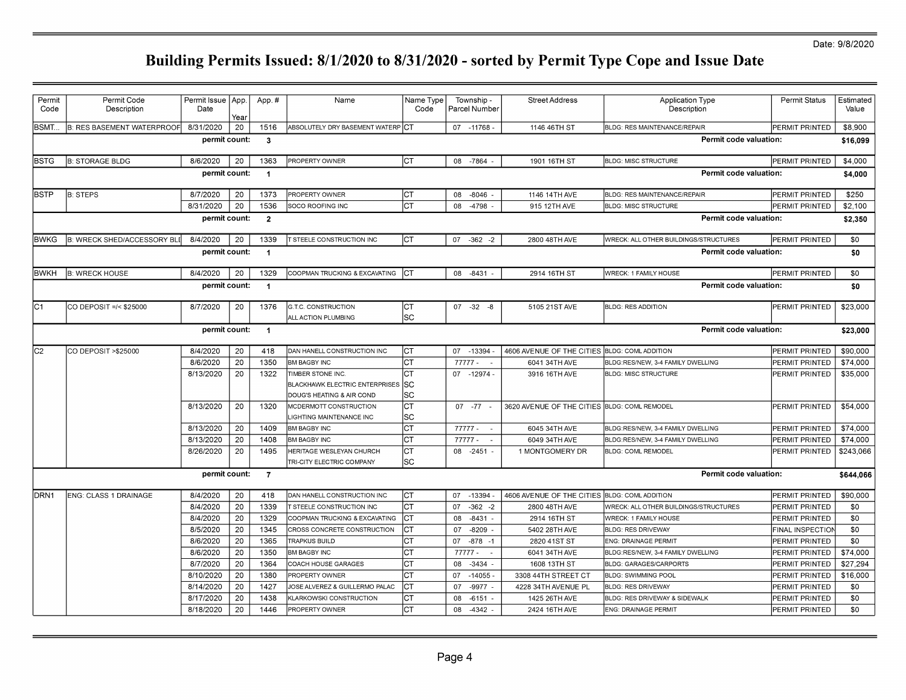| Permit<br>Code | Permit Code<br>Description         | Permit Issue   App.<br>Date | Year | App.#                | Name                                                                  | Name Type<br>Code | Township -<br>Parcel Number | <b>Street Address</b>                        | <b>Application Type</b><br>Description | <b>Permit Status</b>  | Estimated<br>Value |
|----------------|------------------------------------|-----------------------------|------|----------------------|-----------------------------------------------------------------------|-------------------|-----------------------------|----------------------------------------------|----------------------------------------|-----------------------|--------------------|
| BSMT           | <b>B: RES BASEMENT WATERPROOF</b>  | 8/31/2020                   | 20   | 1516                 | ABSOLUTELY DRY BASEMENT WATERP CT                                     |                   | 07 -11768 -                 | 1146 46TH ST                                 | <b>BLDG: RES MAINTENANCE/REPAIR</b>    | <b>PERMIT PRINTED</b> | \$8,900            |
|                |                                    | permit count:               |      | $\mathbf{3}$         |                                                                       |                   |                             |                                              | Permit code valuation:                 |                       | \$16,099           |
| <b>BSTG</b>    | <b>B: STORAGE BLDG</b>             | 8/6/2020                    | 20   | 1363                 | PROPERTY OWNER                                                        | Iст               | 08 -7864                    | 1901 16TH ST                                 | <b>BLDG: MISC STRUCTURE</b>            | PERMIT PRINTED        | \$4,000            |
|                |                                    | permit count:               |      | $\overline{1}$       |                                                                       |                   |                             |                                              | Permit code valuation:                 |                       | \$4,000            |
| BSTP           | <b>B: STEPS</b>                    | 8/7/2020                    | 20   | 1373                 | PROPERTY OWNER                                                        | Iст               | $-8046$<br>08               | 1146 14TH AVE                                | <b>BLDG: RES MAINTENANCE/REPAIR</b>    | PERMIT PRINTED        | \$250              |
|                |                                    | 8/31/2020                   | 20   | 1536                 | SOCO ROOFING INC                                                      | СT                | $-4798$ .<br>08             | 915 12TH AVE                                 | <b>BLDG: MISC STRUCTURE</b>            | PERMIT PRINTED        | \$2,100            |
|                |                                    | permit count:               |      | $\overline{2}$       |                                                                       |                   |                             |                                              | Permit code valuation:                 |                       | \$2,350            |
| <b>BWKG</b>    | <b>B: WRECK SHED/ACCESSORY BLI</b> | 8/4/2020                    | 20   | 1339                 | T STEELE CONSTRUCTION INC                                             | Iст               | $07 - 362 - 2$              | 2800 48TH AVE                                | WRECK: ALL OTHER BUILDINGS/STRUCTURES  | <b>PERMIT PRINTED</b> | \$0                |
|                |                                    | permit count:               |      | $\mathbf{1}$         |                                                                       |                   |                             |                                              | Permit code valuation:                 |                       | \$0                |
| <b>IBWKH</b>   | <b>B: WRECK HOUSE</b>              | 8/4/2020                    | 20   | 1329                 | COOPMAN TRUCKING & EXCAVATING                                         | ICT               | $-8431 -$<br>08             | 2914 16TH ST                                 | WRECK: 1 FAMILY HOUSE                  | PERMIT PRINTED        | \$0                |
|                |                                    | permit count:               |      | $\blacktriangleleft$ |                                                                       |                   |                             |                                              | Permit code valuation:                 |                       | \$0                |
| lC1            | CO DEPOSIT =/< \$25000             | 8/7/2020                    | 20   | 1376                 | G.T.C. CONSTRUCTION                                                   | Iст               | 07 -32<br>$-8$              | 5105 21ST AVE                                | <b>BLDG: RES ADDITION</b>              | PERMIT PRINTED        | \$23,000           |
|                |                                    |                             |      |                      | ALL ACTION PLUMBING                                                   | <b>SC</b>         |                             |                                              |                                        |                       |                    |
|                |                                    | permit count:               |      | $\overline{1}$       |                                                                       |                   |                             |                                              | Permit code valuation:                 |                       | \$23,000           |
| C2             | CO DEPOSIT >\$25000                | 8/4/2020                    | 20   | 418                  | DAN HANELL CONSTRUCTION INC                                           | Iст               | 07 -13394 -                 | 4606 AVENUE OF THE CITIES BLDG: COMLADDITION |                                        | PERMIT PRINTED        | \$90,000           |
|                |                                    | 8/6/2020                    | 20   | 1350                 | <b>BM BAGBY INC</b>                                                   | Iст               | $77777 -$                   | 6041 34TH AVE                                | BLDG:RES/NEW, 3-4 FAMILY DWELLING      | PERMIT PRINTED        | \$74,000           |
|                |                                    | 8/13/2020                   | 20   | 1322                 | TIMBER STONE INC.                                                     | Іст               | $07 - 12974 -$              | 3916 16TH AVE                                | <b>BLDG: MISC STRUCTURE</b>            | PERMIT PRINTED        | \$35,000           |
|                |                                    |                             |      |                      | <b>BLACKHAWK ELECTRIC ENTERPRISES SC</b><br>DOUG'S HEATING & AIR COND | SC                |                             |                                              |                                        |                       |                    |
|                |                                    | 8/13/2020                   | 20   | 1320                 | MCDERMOTT CONSTRUCTION<br>LIGHTING MAINTENANCE INC                    | СT<br>lsc         | $07 - 77 -$                 | 3620 AVENUE OF THE CITIES BLDG: COML REMODEL |                                        | PERMIT PRINTED        | \$54,000           |
|                |                                    | 8/13/2020                   | 20   | 1409                 | <b>BM BAGBY INC</b>                                                   | СT                | 77777 -                     | 6045 34TH AVE                                | BLDG:RES/NEW, 3-4 FAMILY DWELLING      | PERMIT PRINTED        | \$74,000           |
|                |                                    | 8/13/2020                   | 20   | 1408                 | <b>BM BAGBY INC</b>                                                   | СT                | $77777 - -$                 | 6049 34TH AVE                                | BLDG:RES/NEW, 3-4 FAMILY DWELLING      | <b>PERMIT PRINTED</b> | \$74,000           |
|                |                                    | 8/26/2020                   | 20   | 1495                 | HERITAGE WESLEYAN CHURCH<br>TRI-CITY ELECTRIC COMPANY                 | Iст<br><b>SC</b>  | 08 -2451 -                  | 1 MONTGOMERY DR                              | <b>BLDG: COML REMODEL</b>              | PERMIT PRINTED        | \$243,066          |
|                |                                    | permit count:               |      | $\overline{7}$       |                                                                       |                   |                             |                                              | Permit code valuation:                 |                       | \$644,066          |
| IDRN1          | <b>ENG: CLASS 1 DRAINAGE</b>       | 8/4/2020                    | 20   | 418                  | DAN HANELL CONSTRUCTION INC                                           | Іст               | $-13394$<br>07              | 4606 AVENUE OF THE CITIES BLDG: COMLADDITION |                                        | <b>PERMIT PRINTED</b> | \$90,000           |
|                |                                    | 8/4/2020                    | 20   | 1339                 | <b>T STEELE CONSTRUCTION INC</b>                                      | СT                | $-362 -2$<br>07             | 2800 48TH AVE                                | WRECK: ALL OTHER BUILDINGS/STRUCTURES  | PERMIT PRINTED        | \$0                |
|                |                                    | 8/4/2020                    | 20   | 1329                 | COOPMAN TRUCKING & EXCAVATING                                         | Iст               | 08<br>$-8431$               | 2914 16TH ST                                 | <b>WRECK: 1 FAMILY HOUSE</b>           | PERMIT PRINTED        | \$0                |
|                |                                    | 8/5/2020                    | 20   | 1345                 | CROSS CONCRETE CONSTRUCTION                                           | Іст               | $-8209$<br>07               | 5402 28TH AVE                                | <b>BLDG: RES DRIVEWAY</b>              | FINAL INSPECTION      | \$0                |
|                |                                    | 8/6/2020                    | 20   | 1365                 | <b>TRAPKUS BUILD</b>                                                  | CТ                | $-878 - 1$<br>07            | 2820 41ST ST                                 | <b>ENG: DRAINAGE PERMIT</b>            | PERMIT PRINTED        | \$0                |
|                |                                    | 8/6/2020                    | 20   | 1350                 | <b>BM BAGBY INC</b>                                                   | IСТ               | 77777 -                     | 6041 34TH AVE                                | BLDG:RES/NEW, 3-4 FAMILY DWELLING      | PERMIT PRINTED        | \$74,000           |
|                |                                    | 8/7/2020                    | 20   | 1364                 | <b>COACH HOUSE GARAGES</b>                                            | CТ                | $-3434 -$<br>08             | 1608 13TH ST                                 | <b>BLDG: GARAGES/CARPORTS</b>          | PERMIT PRINTED        | \$27,294           |
|                |                                    | 8/10/2020                   | 20   | 1380                 | PROPERTY OWNER                                                        | CТ                | 07<br>$-14055$              | 3308 44TH STREET CT                          | <b>BLDG: SWIMMING POOL</b>             | PERMIT PRINTED        | \$16,000           |
|                |                                    | 8/14/2020                   | 20   | 1427                 | JOSE ALVEREZ & GUILLERMO PALAC                                        | Іст               | $-9977$<br>07               | 4228 34TH AVENUE PL                          | <b>BLDG: RES DRIVEWAY</b>              | PERMIT PRINTED        | \$0                |
|                |                                    | 8/17/2020                   | 20   | 1438                 | <b>KLARKOWSKI CONSTRUCTION</b>                                        | CТ                | $-6151$<br>08               | 1425 26TH AVE                                | BLDG: RES DRIVEWAY & SIDEWALK          | PERMIT PRINTED        | \$0                |
|                |                                    | 8/18/2020                   | 20   | 1446                 | PROPERTY OWNER                                                        | lст               | 08<br>-4342 -               | 2424 16TH AVE                                | ENG: DRAINAGE PERMIT                   | PERMIT PRINTED        | \$0                |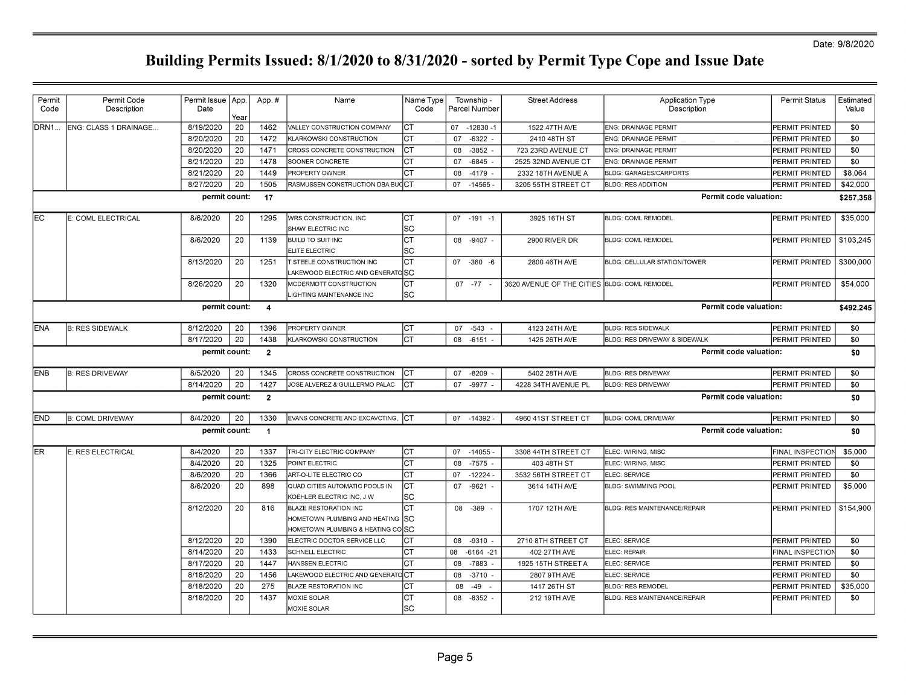| Permit<br>Code | Permit Code<br>Description | Permit Issue   App.<br>Date | Year | App.#                   | Name                                                                                                  | Name Type<br>Code | Township -<br>Parcel Number | <b>Street Address</b>                        | <b>Application Type</b><br>Description | Permit Status    | Estimated<br>Value |
|----------------|----------------------------|-----------------------------|------|-------------------------|-------------------------------------------------------------------------------------------------------|-------------------|-----------------------------|----------------------------------------------|----------------------------------------|------------------|--------------------|
| DRN1           | ENG: CLASS 1 DRAINAGE      | 8/19/2020                   | 20   | 1462                    | VALLEY CONSTRUCTION COMPANY                                                                           | Iст               | $-12830 - 1$<br>07          | 1522 47TH AVE                                | <b>ENG: DRAINAGE PERMIT</b>            | PERMIT PRINTED   | \$0                |
|                |                            | 8/20/2020                   | 20   | 1472                    | KLARKOWSKI CONSTRUCTION                                                                               | IСТ               | $-6322 -$<br>07             | 2410 48TH ST                                 | <b>ENG: DRAINAGE PERMIT</b>            | PERMIT PRINTED   | \$0                |
|                |                            | 8/20/2020                   | 20   | 1471                    | CROSS CONCRETE CONSTRUCTION                                                                           | Iст               | $-3852$<br>08               | 723 23RD AVENUE CT                           | <b>ENG: DRAINAGE PERMIT</b>            | PERMIT PRINTED   | \$0                |
|                |                            | 8/21/2020                   | 20   | 1478                    | SOONER CONCRETE                                                                                       | Iст               | 07<br>$-6845 -$             | 2525 32ND AVENUE CT                          | <b>ENG: DRAINAGE PERMIT</b>            | PERMIT PRINTED   | \$0                |
|                |                            | 8/21/2020                   | 20   | 1449                    | PROPERTY OWNER                                                                                        | Iст               | $-4179 -$<br>08             | 2332 18TH AVENUE A                           | BLDG: GARAGES/CARPORTS                 | PERMIT PRINTED   | \$8,064            |
|                |                            | 8/27/2020                   | 20   | 1505                    | RASMUSSEN CONSTRUCTION DBA BUCICT                                                                     |                   | $-14565$<br>07              | 3205 55TH STREET CT                          | <b>BLDG: RES ADDITION</b>              | PERMIT PRINTED   | \$42,000           |
|                |                            | permit count:               |      | 17                      |                                                                                                       |                   |                             |                                              | Permit code valuation:                 |                  | \$257,358          |
| EC             | E: COML ELECTRICAL         | 8/6/2020                    | 20   | 1295                    | WRS CONSTRUCTION, INC<br>SHAW ELECTRIC INC                                                            | Іст<br>lsc        | $07 - 191 - 1$              | 3925 16TH ST                                 | <b>BLDG: COML REMODEL</b>              | PERMIT PRINTED   | \$35,000           |
|                |                            | 8/6/2020                    | 20   | 1139                    | <b>BUILD TO SUIT INC</b><br>ELITE ELECTRIC                                                            | Iст<br> SC        | 08 -9407 -                  | 2900 RIVER DR                                | <b>BLDG: COML REMODEL</b>              | PERMIT PRINTED   | \$103,245          |
|                |                            | 8/13/2020                   | 20   | 1251                    | T STEELE CONSTRUCTION INC<br>AKEWOOD ELECTRIC AND GENERATO SC                                         | Iст               | 07 - 360 - 6                | 2800 46TH AVE                                | <b>BLDG: CELLULAR STATION/TOWER</b>    | PERMIT PRINTED   | \$300,000          |
|                |                            | 8/26/2020                   | 20   | 1320                    | MCDERMOTT CONSTRUCTION<br>LIGHTING MAINTENANCE INC                                                    | Iст<br>lsc        | $07 - 77 -$                 | 3620 AVENUE OF THE CITIES BLDG: COML REMODEL |                                        | PERMIT PRINTED   | \$54,000           |
|                |                            | permit count:               |      | $\overline{\mathbf{4}}$ |                                                                                                       |                   |                             |                                              | Permit code valuation:                 |                  | \$492,245          |
| <b>ENA</b>     | <b>B: RES SIDEWALK</b>     | 8/12/2020                   | 20   | 1396                    | PROPERTY OWNER                                                                                        | Iст               | 07<br>-543                  | 4123 24TH AVE                                | <b>BLDG: RES SIDEWALK</b>              | PERMIT PRINTED   | \$0                |
|                |                            | 8/17/2020                   | 20   | 1438                    | KLARKOWSKI CONSTRUCTION                                                                               | Iст               | $08 - 6151 -$               | 1425 26TH AVE                                | BLDG: RES DRIVEWAY & SIDEWALK          | PERMIT PRINTED   | \$0                |
|                |                            | permit count:               |      | $\overline{2}$          |                                                                                                       |                   |                             |                                              | Permit code valuation:                 |                  | \$0                |
| <b>ENB</b>     | <b>B: RES DRIVEWAY</b>     | 8/5/2020                    | 20   | 1345                    | CROSS CONCRETE CONSTRUCTION                                                                           | Iст               | $-8209$<br>07               | 5402 28TH AVE                                | <b>BLDG: RES DRIVEWAY</b>              | PERMIT PRINTED   | \$0                |
|                |                            | 8/14/2020                   | 20   | 1427                    | JOSE ALVEREZ & GUILLERMO PALAC                                                                        | Iст               | $-9977 -$<br>07             | 4228 34TH AVENUE PL                          | <b>BLDG: RES DRIVEWAY</b>              | PERMIT PRINTED   | \$0                |
|                |                            | permit count:               |      | $\overline{2}$          |                                                                                                       |                   |                             |                                              | Permit code valuation:                 |                  | \$0                |
| <b>END</b>     | <b>B: COML DRIVEWAY</b>    | 8/4/2020                    | 20   | 1330                    | EVANS CONCRETE AND EXCAVCTING,                                                                        | Іст               | $-14392$<br>07              | 4960 41ST STREET CT                          | <b>BLDG: COML DRIVEWAY</b>             | PERMIT PRINTED   | \$0                |
|                |                            | permit count:               |      | $\overline{\mathbf{1}}$ |                                                                                                       |                   |                             |                                              | Permit code valuation:                 |                  | \$0                |
| ER             | E: RES ELECTRICAL          | 8/4/2020                    | 20   | 1337                    | TRI-CITY ELECTRIC COMPANY                                                                             | Іст               | $-14055$<br>07              | 3308 44TH STREET CT                          | ELEC: WIRING, MISC                     | FINAL INSPECTION | \$5,000            |
|                |                            | 8/4/2020                    | 20   | 1325                    | POINT ELECTRIC                                                                                        | Іст               | $-7575 -$<br>08             | 403 48TH ST                                  | ELEC: WIRING, MISC                     | PERMIT PRINTED   | \$0                |
|                |                            | 8/6/2020                    | 20   | 1366                    | ART-O-LITE ELECTRIC CO                                                                                | Iст               | $-12224$<br>07              | 3532 56TH STREET CT                          | ELEC: SERVICE                          | PERMIT PRINTED   | \$0                |
|                |                            | 8/6/2020                    | 20   | 898                     | QUAD CITIES AUTOMATIC POOLS IN<br>KOEHLER ELECTRIC INC, J W                                           | Іст<br> SC        | 07<br>-9621                 | 3614 14TH AVE                                | <b>BLDG: SWIMMING POOL</b>             | PERMIT PRINTED   | \$5,000            |
|                |                            | 8/12/2020                   | 20   | 816                     | <b>BLAZE RESTORATION INC</b><br>HOMETOWN PLUMBING AND HEATING SC<br>HOMETOWN PLUMBING & HEATING COSSC | Іст               | 08 -389                     | 1707 12TH AVE                                | BLDG: RES MAINTENANCE/REPAIR           | PERMIT PRINTED   | \$154,900          |
|                |                            | 8/12/2020                   | 20   | 1390                    | ELECTRIC DOCTOR SERVICE LLC                                                                           | Іст               | $-9310 -$<br>08             | 2710 8TH STREET CT                           | ELEC: SERVICE                          | PERMIT PRINTED   | \$0                |
|                |                            | 8/14/2020                   | 20   | 1433                    | <b>SCHNELL ELECTRIC</b>                                                                               | IСT               | 08<br>$-6164 - 21$          | 402 27TH AVE                                 | ELEC: REPAIR                           | FINAL INSPECTION | \$0                |
|                |                            | 8/17/2020                   | 20   | 1447                    | HANSSEN ELECTRIC                                                                                      | Iст               | $-7883$<br>08               | 1925 15TH STREET A                           | ELEC: SERVICE                          | PERMIT PRINTED   | \$0                |
|                |                            | 8/18/2020                   | 20   | 1456                    | LAKEWOOD ELECTRIC AND GENERATOCT                                                                      |                   | $-3710 -$<br>08             | 2807 9TH AVE                                 | ELEC: SERVICE                          | PERMIT PRINTED   | \$0                |
|                |                            | 8/18/2020                   | 20   | 275                     | <b>BLAZE RESTORATION INC</b>                                                                          | Iст               | 08<br>$-49$                 | 1417 26TH ST                                 | <b>BLDG: RES REMODEL</b>               | PERMIT PRINTED   | \$35,000           |
|                |                            | 8/18/2020                   | 20   | 1437                    | <b>MOXIE SOLAR</b><br><b>MOXIE SOLAR</b>                                                              | Iст<br>lsc        | -8352 -<br>08               | 212 19TH AVE                                 | <b>BLDG: RES MAINTENANCE/REPAIR</b>    | PERMIT PRINTED   | \$0                |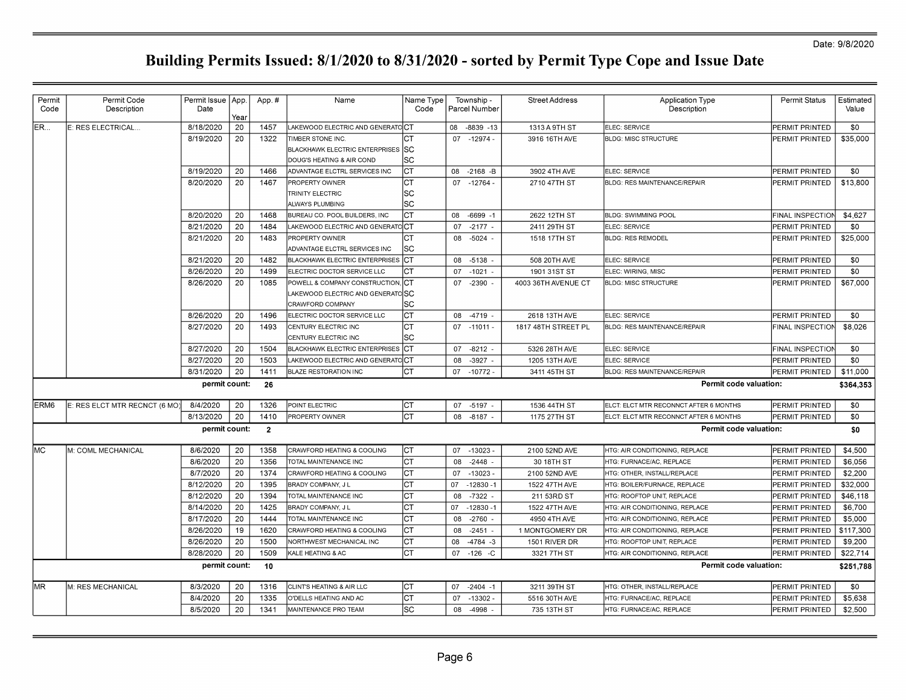| Permit                                                                                                                                     | Permit Code                   | Permit Issue   App. |      | App.#          | Name                                     | Name Type | Township -         | <b>Street Address</b> | <b>Application Type</b>                | <b>Permit Status</b>  | Estimated |
|--------------------------------------------------------------------------------------------------------------------------------------------|-------------------------------|---------------------|------|----------------|------------------------------------------|-----------|--------------------|-----------------------|----------------------------------------|-----------------------|-----------|
| Code                                                                                                                                       | Description                   | Date                | Year |                |                                          | Code      | Parcel Number      |                       | Description                            |                       | Value     |
| ER                                                                                                                                         | E: RES ELECTRICAL             | 8/18/2020           | 20   | 1457           | LAKEWOOD ELECTRIC AND GENERATOCT         |           | 08 -8839 -13       | 1313 A 9TH ST         | ELEC: SERVICE                          | <b>PERMIT PRINTED</b> | \$0       |
|                                                                                                                                            |                               | 8/19/2020           | 20   | 1322           | TIMBER STONE INC.                        |           | $-12974$<br>07     | 3916 16TH AVE         | <b>BLDG: MISC STRUCTURE</b>            | PERMIT PRINTED        | \$35,000  |
|                                                                                                                                            |                               |                     |      |                | <b>BLACKHAWK ELECTRIC ENTERPRISES SC</b> |           |                    |                       |                                        |                       |           |
|                                                                                                                                            |                               |                     |      |                | DOUG'S HEATING & AIR COND                | lsc       |                    |                       |                                        |                       |           |
|                                                                                                                                            |                               | 8/19/2020           | 20   | 1466           | ADVANTAGE ELCTRL SERVICES INC            | Іст       | $-2168 - B$<br>08  | 3902 4TH AVE          | ELEC: SERVICE                          | PERMIT PRINTED        | \$0       |
|                                                                                                                                            |                               | 8/20/2020           | 20   | 1467           | PROPERTY OWNER                           | Іст       | $-12764$<br>07     | 2710 47TH ST          | BLDG: RES MAINTENANCE/REPAIR           | PERMIT PRINTED        | \$13,800  |
|                                                                                                                                            |                               |                     |      |                | TRINITY ELECTRIC                         | lsc       |                    |                       |                                        |                       |           |
|                                                                                                                                            |                               |                     |      |                | ALWAYS PLUMBING                          | lsc       |                    |                       |                                        |                       |           |
|                                                                                                                                            |                               | 8/20/2020           | 20   | 1468           | BUREAU CO. POOL BUILDERS, INC            | Іст       | 08<br>$-6699 - 1$  | 2622 12TH ST          | <b>BLDG: SWIMMING POOL</b>             | FINAL INSPECTION      | \$4,627   |
|                                                                                                                                            |                               | 8/21/2020           | 20   | 1484           | LAKEWOOD ELECTRIC AND GENERATOCCT        |           | 07<br>$-2177 -$    | 2411 29TH ST          | ELEC: SERVICE                          | PERMIT PRINTED        | \$0       |
|                                                                                                                                            |                               | 8/21/2020           | 20   | 1483           | PROPERTY OWNER                           | IСТ       | $-5024 -$<br>80    | 1518 17TH ST          | <b>BLDG: RES REMODEL</b>               | PERMIT PRINTED        | \$25,000  |
|                                                                                                                                            |                               |                     |      |                | ADVANTAGE ELCTRL SERVICES INC            | lsc       |                    |                       |                                        |                       |           |
|                                                                                                                                            |                               | 8/21/2020           | 20   | 1482           | <b>BLACKHAWK ELECTRIC ENTERPRISES</b>    | Iст       | 80<br>$-5138 -$    | 508 20TH AVE          | ELEC: SERVICE                          | <b>PERMIT PRINTED</b> | \$0       |
|                                                                                                                                            |                               | 8/26/2020           | 20   | 1499           | ELECTRIC DOCTOR SERVICE LLC              | Iст       | 07<br>$-1021$      | 1901 31ST ST          | ELEC: WIRING, MISC                     | <b>PERMIT PRINTED</b> | \$0       |
|                                                                                                                                            |                               | 8/26/2020           | 20   | 1085           | POWELL & COMPANY CONSTRUCTION            | Іст       | 07<br>-2390        | 4003 36TH AVENUE CT   | <b>BLDG: MISC STRUCTURE</b>            | PERMIT PRINTED        | \$67,000  |
|                                                                                                                                            |                               |                     |      |                | AKEWOOD ELECTRIC AND GENERATO SC         |           |                    |                       |                                        |                       |           |
|                                                                                                                                            |                               |                     |      |                | CRAWFORD COMPANY                         | lsc       |                    |                       |                                        |                       |           |
|                                                                                                                                            |                               | 8/26/2020           | 20   | 1496           | ELECTRIC DOCTOR SERVICE LLC              | Іст       | 80<br>$-4719 -$    | 2618 13TH AVE         | ELEC: SERVICE                          | PERMIT PRINTED        | \$0       |
|                                                                                                                                            |                               | 8/27/2020           | 20   | 1493           | CENTURY ELECTRIC INC                     | Іст       | $07 - 11011 -$     | 1817 48TH STREET PL   | BLDG: RES MAINTENANCE/REPAIR           | FINAL INSPECTION      | \$8,026   |
|                                                                                                                                            |                               |                     |      |                | CENTURY ELECTRIC INC                     | lsc       |                    |                       |                                        |                       |           |
|                                                                                                                                            |                               | 8/27/2020           | 20   | 1504           | BLACKHAWK ELECTRIC ENTERPRISES           | Іст       | $-8212 -$<br>07    | 5326 28TH AVE         | ELEC: SERVICE                          | FINAL INSPECTION      | \$0       |
|                                                                                                                                            |                               | 8/27/2020           | 20   | 1503           | LAKEWOOD ELECTRIC AND GENERATO CT        |           | 08<br>$-3927 -$    | 1205 13TH AVE         | ELEC: SERVICE                          | PERMIT PRINTED        | \$0       |
|                                                                                                                                            |                               | 8/31/2020           | 20   | 1411           | <b>BLAZE RESTORATION INC</b>             | Iст       | $-10772 -$<br>07   | 3411 45TH ST          | BLDG: RES MAINTENANCE/REPAIR           | PERMIT PRINTED        | \$11,000  |
|                                                                                                                                            |                               | permit count:       |      | 26             |                                          |           |                    |                       | Permit code valuation:                 |                       | \$364,353 |
| ERM <sub>6</sub>                                                                                                                           | E: RES ELCT MTR RECNCT (6 MO) | 8/4/2020            | 20   | 1326           | POINT ELECTRIC                           | Iст       | $-5197 -$<br>07    | 1536 44TH ST          | ELCT: ELCT MTR RECONNCT AFTER 6 MONTHS | PERMIT PRINTED        | \$0       |
|                                                                                                                                            |                               | 8/13/2020           | 20   | 1410           | PROPERTY OWNER                           | Iст       | 08<br>$-8187 -$    | 1175 27TH ST          | ELCT: ELCT MTR RECONNCT AFTER 6 MONTHS | <b>PERMIT PRINTED</b> | \$0       |
|                                                                                                                                            |                               | permit count:       |      | $\overline{2}$ |                                          |           |                    |                       | Permit code valuation:                 |                       | \$0       |
| lмc                                                                                                                                        | M: COML MECHANICAL            | 8/6/2020            | 20   | 1358           | CRAWFORD HEATING & COOLING               | Iст       | $-13023$<br>07     | 2100 52ND AVE         | HTG: AIR CONDITIONING, REPLACE         | <b>PERMIT PRINTED</b> | \$4.500   |
|                                                                                                                                            |                               | 8/6/2020            | 20   | 1356           | TOTAL MAINTENANCE INC                    | Іст       | $-2448$ -<br>80    | 30 18TH ST            | HTG: FURNACE/AC, REPLACE               | <b>PERMIT PRINTED</b> | \$6,056   |
|                                                                                                                                            |                               | 8/7/2020            | 20   | 1374           | CRAWFORD HEATING & COOLING               | Іст       | $-13023$<br>07     | 2100 52ND AVE         | HTG: OTHER, INSTALL/REPLACE            | PERMIT PRINTED        | \$2.200   |
|                                                                                                                                            |                               | 8/12/2020           | 20   | 1395           | <b>BRADY COMPANY, JL</b>                 | Iст       | $-12830 - 1$<br>07 | 1522 47TH AVE         | HTG: BOILER/FURNACE, REPLACE           | <b>PERMIT PRINTED</b> | \$32,000  |
|                                                                                                                                            |                               | 8/12/2020           | 20   | 1394           | TOTAL MAINTENANCE INC                    | Iст       | $-7322$<br>80      | 211 53RD ST           | HTG: ROOFTOP UNIT, REPLACE             | PERMIT PRINTED        | \$46,118  |
|                                                                                                                                            |                               | 8/14/2020           | 20   | 1425           | BRADY COMPANY, J L                       | Iст       | $-12830 - 1$<br>07 | 1522 47TH AVE         | HTG: AIR CONDITIONING, REPLACE         | PERMIT PRINTED        | \$6,700   |
|                                                                                                                                            |                               | 8/17/2020           | 20   | 1444           | TOTAL MAINTENANCE INC                    | Iст       | $-2760$ -<br>80    | 4950 4TH AVE          | HTG: AIR CONDITIONING, REPLACE         | PERMIT PRINTED        | \$5,000   |
|                                                                                                                                            |                               | 8/26/2020           | 19   | 1620           | CRAWFORD HEATING & COOLING               | Iст       | $-2451 -$<br>80    | 1 MONTGOMERY DR       | HTG: AIR CONDITIONING, REPLACE         | PERMIT PRINTED        | \$117,300 |
|                                                                                                                                            |                               | 8/26/2020           | 20   | 1500           | NORTHWEST MECHANICAL INC                 | Iст       | $-4784 - 3$<br>08  | 1501 RIVER DR         | HTG: ROOFTOP UNIT, REPLACE             | PERMIT PRINTED        | \$9,200   |
| 8/28/2020<br>20<br>1509<br>Іст<br>07<br>$-126 - C$<br>3321 7TH ST<br>KALE HEATING & AC<br>HTG: AIR CONDITIONING, REPLACE<br>PERMIT PRINTED |                               |                     |      |                |                                          |           |                    |                       |                                        |                       |           |
|                                                                                                                                            |                               | permit count:       |      | 10             |                                          |           |                    |                       | <b>Permit code valuation:</b>          |                       | \$251,788 |
| MR.                                                                                                                                        | M: RES MECHANICAL             | 8/3/2020            | 20   | 1316           | CLINT'S HEATING & AIR LLC                | Iст       | $-2404 - 1$<br>07  | 3211 39TH ST          | HTG: OTHER, INSTALL/REPLACE            | PERMIT PRINTED        | \$0       |
|                                                                                                                                            |                               | 8/4/2020            | 20   | 1335           | O'DELLS HEATING AND AC                   | Іст       | $-13302$<br>07     | 5516 30TH AVE         | HTG: FURNACE/AC, REPLACE               | PERMIT PRINTED        | \$5,638   |
|                                                                                                                                            |                               | 8/5/2020            | 20   | 1341           | MAINTENANCE PRO TEAM                     | lsc       | 08<br>-4998        | 735 13TH ST           | HTG: FURNACE/AC, REPLACE               | PERMIT PRINTED        | \$2,500   |
|                                                                                                                                            |                               |                     |      |                |                                          |           |                    |                       |                                        |                       |           |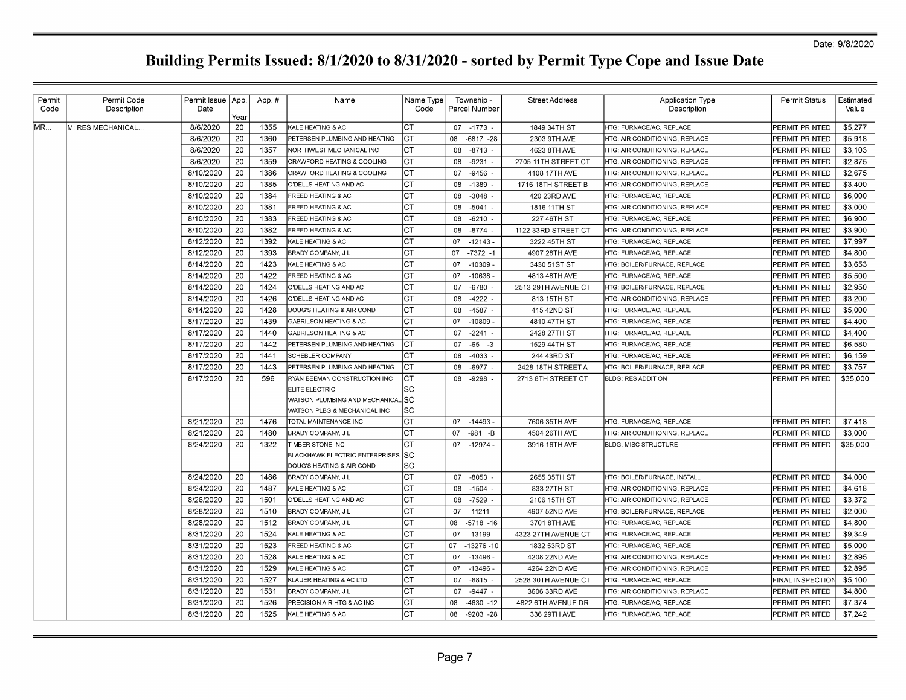| Permit | Permit Code       | Permit Issue   App. |      | App.# | Name                                                | Name Type | Township -          | <b>Street Address</b> | <b>Application Type</b>        | <b>Permit Status</b>    | Estimated |
|--------|-------------------|---------------------|------|-------|-----------------------------------------------------|-----------|---------------------|-----------------------|--------------------------------|-------------------------|-----------|
| Code   | Description       | Date                | Year |       |                                                     | Code      | Parcel Number       |                       | Description                    |                         | Value     |
| MR     | M: RES MECHANICAL | 8/6/2020            | 20   | 1355  | KALE HEATING & AC                                   | IСТ       | $07 - 1773 -$       | 1849 34TH ST          | HTG: FURNACE/AC. REPLACE       | PERMIT PRINTED          | \$5,277   |
|        |                   | 8/6/2020            | 20   | 1360  | PETERSEN PLUMBING AND HEATING                       | Iст       | $-6817 - 28$<br>08  | 2303 9TH AVE          | HTG: AIR CONDITIONING, REPLACE | PERMIT PRINTED          | \$5,918   |
|        |                   | 8/6/2020            | 20   | 1357  | NORTHWEST MECHANICAL INC                            | IСT       | $-8713 -$<br>08     | 4623 8TH AVE          | HTG: AIR CONDITIONING, REPLACE | <b>PERMIT PRINTED</b>   | \$3,103   |
|        |                   | 8/6/2020            | 20   | 1359  | CRAWFORD HEATING & COOLING                          | Iст       | 08<br>$-9231$       | 2705 11TH STREET CT   | HTG: AIR CONDITIONING, REPLACE | <b>PERMIT PRINTED</b>   | \$2,875   |
|        |                   | 8/10/2020           | 20   | 1386  | CRAWFORD HEATING & COOLING                          | Iст       | $-9456$<br>07       | 4108 17TH AVE         | HTG: AIR CONDITIONING, REPLACE | PERMIT PRINTED          | \$2,675   |
|        |                   | 8/10/2020           | 20   | 1385  | O'DELLS HEATING AND AC                              | Iст       | $-1389$<br>08       | 1716 18TH STREET B    | HTG: AIR CONDITIONING, REPLACE | <b>PERMIT PRINTED</b>   | \$3,400   |
|        |                   | 8/10/2020           | 20   | 1384  | FREED HEATING & AC                                  | Iст       | $-3048 -$<br>08     | 420 23RD AVE          | HTG: FURNACE/AC, REPLACE       | <b>PERMIT PRINTED</b>   | \$6,000   |
|        |                   | 8/10/2020           | 20   | 1381  | FREED HEATING & AC                                  | СT        | $-5041 -$<br>08     | 1816 11 TH ST         | HTG: AIR CONDITIONING, REPLACE | PERMIT PRINTED          | \$3,000   |
|        |                   | 8/10/2020           | 20   | 1383  | <b>FREED HEATING &amp; AC</b>                       | IСТ       | $-6210 -$<br>08     | 227 46TH ST           | HTG: FURNACE/AC, REPLACE       | <b>PERMIT PRINTED</b>   | \$6,900   |
|        |                   | 8/10/2020           | 20   | 1382  | FREED HEATING & AC                                  | Iст       | $-8774$<br>08       | 1122 33RD STREET CT   | HTG: AIR CONDITIONING, REPLACE | <b>PERMIT PRINTED</b>   | \$3,900   |
|        |                   | 8/12/2020           | 20   | 1392  | KALE HEATING & AC                                   | Iст       | 07<br>$-12143$      | 3222 45TH ST          | HTG: FURNACE/AC, REPLACE       | PERMIT PRINTED          | \$7,997   |
|        |                   | 8/12/2020           | 20   | 1393  | BRADY COMPANY, J L                                  | Iст       | $-7372 - 1$<br>07   | 4907 28TH AVE         | HTG: FURNACE/AC, REPLACE       | PERMIT PRINTED          | \$4,800   |
|        |                   | 8/14/2020           | 20   | 1423  | KALE HEATING & AC                                   | Iст       | $-10309$<br>07      | 3430 51ST ST          | HTG: BOILER/FURNACE, REPLACE   | <b>PERMIT PRINTED</b>   | \$3,653   |
|        |                   | 8/14/2020           | 20   | 1422  | FREED HEATING & AC                                  | Iст       | 07<br>$-10638$      | 4813 48TH AVE         | HTG: FURNACE/AC. REPLACE       | PERMIT PRINTED          | \$5,500   |
|        |                   | 8/14/2020           | 20   | 1424  | O'DELLS HEATING AND AC                              | IСТ       | 07<br>$-6780$       | 2513 29TH AVENUE CT   | HTG: BOILER/FURNACE, REPLACE   | <b>PERMIT PRINTED</b>   | \$2,950   |
|        |                   | 8/14/2020           | 20   | 1426  | O'DELLS HEATING AND AC                              | Iст       | $-4222$<br>08       | 813 15TH ST           | HTG: AIR CONDITIONING, REPLACE | <b>PERMIT PRINTED</b>   | \$3.200   |
|        |                   | 8/14/2020           | 20   | 1428  | DOUG'S HEATING & AIR COND                           | IСТ       | $-4587 -$<br>08     | 415 42ND ST           | HTG: FURNACE/AC, REPLACE       | PERMIT PRINTED          | \$5,000   |
|        |                   | 8/17/2020           | 20   | 1439  | GABRILSON HEATING & AC                              | Iст       | $-10809 -$<br>07    | 4810 47TH ST          | HTG: FURNACE/AC, REPLACE       | <b>PERMIT PRINTED</b>   | \$4,400   |
|        |                   | 8/17/2020           | 20   | 1440  | <b>GABRILSON HEATING &amp; AC</b>                   | Iст       | $-2241 -$<br>07     | 2428 27TH ST          | HTG: FURNACE/AC, REPLACE       | PERMIT PRINTED          | \$4,400   |
|        |                   | 8/17/2020           | 20   | 1442  | PETERSEN PLUMBING AND HEATING                       | Iст       | $-65$<br>07<br>$-3$ | 1529 44TH ST          | HTG: FURNACE/AC. REPLACE       | PERMIT PRINTED          | \$6,580   |
|        |                   | 8/17/2020           | 20   | 1441  | <b>SCHEBLER COMPANY</b>                             | IСТ       | 08<br>-4033         | 244 43RD ST           | HTG: FURNACE/AC, REPLACE       | PERMIT PRINTED          | \$6,159   |
|        |                   | 8/17/2020           | 20   | 1443  | PETERSEN PLUMBING AND HEATING                       | Iст       | $-6977 -$<br>08     | 2428 18TH STREET A    | HTG: BOILER/FURNACE. REPLACE   | PERMIT PRINTED          | \$3,757   |
|        |                   | 8/17/2020           | 20   | 596   | RYAN BEEMAN CONSTRUCTION INC                        | Iст       | -9298<br>08         | 2713 8TH STREET CT    | <b>BLDG: RES ADDITION</b>      | PERMIT PRINTED          | \$35,000  |
|        |                   |                     |      |       | ELITE ELECTRIC<br>WATSON PLUMBING AND MECHANICAL SC | lSC       |                     |                       |                                |                         |           |
|        |                   |                     |      |       | WATSON PLBG & MECHANICAL INC                        | lsc       |                     |                       |                                |                         |           |
|        |                   | 8/21/2020           | 20   | 1476  | TOTAL MAINTENANCE INC                               | IСТ       | 07<br>$-14493$      | 7606 35TH AVE         | HTG: FURNACE/AC. REPLACE       | PERMIT PRINTED          | \$7,418   |
|        |                   | 8/21/2020           | 20   | 1480  | BRADY COMPANY, J L                                  | lст       | $-981 - B$<br>07    | 4504 26TH AVE         | HTG: AIR CONDITIONING, REPLACE | <b>PERMIT PRINTED</b>   | \$3,000   |
|        |                   | 8/24/2020           | 20   | 1322  | TIMBER STONE INC.                                   | IСT       | $07 - 12974 -$      | 3916 16TH AVE         | <b>BLDG: MISC STRUCTURE</b>    | PERMIT PRINTED          | \$35,000  |
|        |                   |                     |      |       | <b>BLACKHAWK ELECTRIC ENTERPRISES</b>               | ISC       |                     |                       |                                |                         |           |
|        |                   |                     |      |       | DOUG'S HEATING & AIR COND                           | lsc       |                     |                       |                                |                         |           |
|        |                   | 8/24/2020           | 20   | 1486  | BRADY COMPANY, J L                                  | Iст       | $-8053$<br>07       | 2655 35TH ST          | HTG: BOILER/FURNACE, INSTALL   | <b>PERMIT PRINTED</b>   | \$4,000   |
|        |                   | 8/24/2020           | 20   | 1487  | KALE HEATING & AC                                   | Iст       | $-1504$<br>08       | 833 27TH ST           | HTG: AIR CONDITIONING, REPLACE | PERMIT PRINTED          | \$4,618   |
|        |                   | 8/26/2020           | 20   | 1501  | O'DELLS HEATING AND AC                              | Iст       | $-7529$<br>08       | 2106 15TH ST          | HTG: AIR CONDITIONING, REPLACE | PERMIT PRINTED          | \$3,372   |
|        |                   | 8/28/2020           | 20   | 1510  | BRADY COMPANY, J L                                  | Iст       | $-11211 -$<br>07    | 4907 52ND AVE         | HTG: BOILER/FURNACE, REPLACE   | <b>PERMIT PRINTED</b>   | \$2,000   |
|        |                   | 8/28/2020           | 20   | 1512  | BRADY COMPANY, J L                                  | Iст       | $-5718 - 16$<br>80  | 3701 8TH AVE          | HTG: FURNACE/AC. REPLACE       | <b>PERMIT PRINTED</b>   | \$4,800   |
|        |                   | 8/31/2020           | 20   | 1524  | KALE HEATING & AC                                   | IСТ       | $-13199$<br>07      | 4323 27TH AVENUE CT   | HTG: FURNACE/AC. REPLACE       | PERMIT PRINTED          | \$9,349   |
|        |                   | 8/31/2020           | 20   | 1523  | FREED HEATING & AC                                  | Iст       | 07<br>$-13276 - 10$ | 1832 53RD ST          | HTG: FURNACE/AC, REPLACE       | <b>PERMIT PRINTED</b>   | \$5,000   |
|        |                   | 8/31/2020           | 20   | 1528  | KALE HEATING & AC                                   | lст       | 07<br>$-13496$      | 4208 22ND AVE         | HTG: AIR CONDITIONING, REPLACE | PERMIT PRINTED          | \$2,895   |
|        |                   | 8/31/2020           | 20   | 1529  | KALE HEATING & AC                                   | IСТ       | $-13496$<br>07      | 4264 22ND AVE         | HTG: AIR CONDITIONING, REPLACE | <b>PERMIT PRINTED</b>   | \$2,895   |
|        |                   | 8/31/2020           | 20   | 1527  | KLAUER HEATING & AC LTD                             | IСТ       | $-6815 -$<br>07     | 2528 30TH AVENUE CT   | HTG: FURNACE/AC, REPLACE       | <b>FINAL INSPECTION</b> | \$5,100   |
|        |                   | 8/31/2020           | 20   | 1531  | <b>BRADY COMPANY, JL</b>                            | Iст       | 07<br>$-9447 -$     | 3606 33RD AVE         | HTG: AIR CONDITIONING, REPLACE | PERMIT PRINTED          | \$4,800   |
|        |                   | 8/31/2020           | 20   | 1526  | PRECISION AIR HTG & AC INC                          | IСТ       | $-4630 - 12$<br>08  | 4822 6TH AVENUE DR    | HTG: FURNACE/AC, REPLACE       | <b>PERMIT PRINTED</b>   | \$7.374   |
|        |                   | 8/31/2020           | 20   | 1525  | KALE HEATING & AC                                   | Iст       | 08<br>$-9203 - 28$  | 336 29TH AVE          | HTG: FURNACE/AC, REPLACE       | PERMIT PRINTED          | \$7,242   |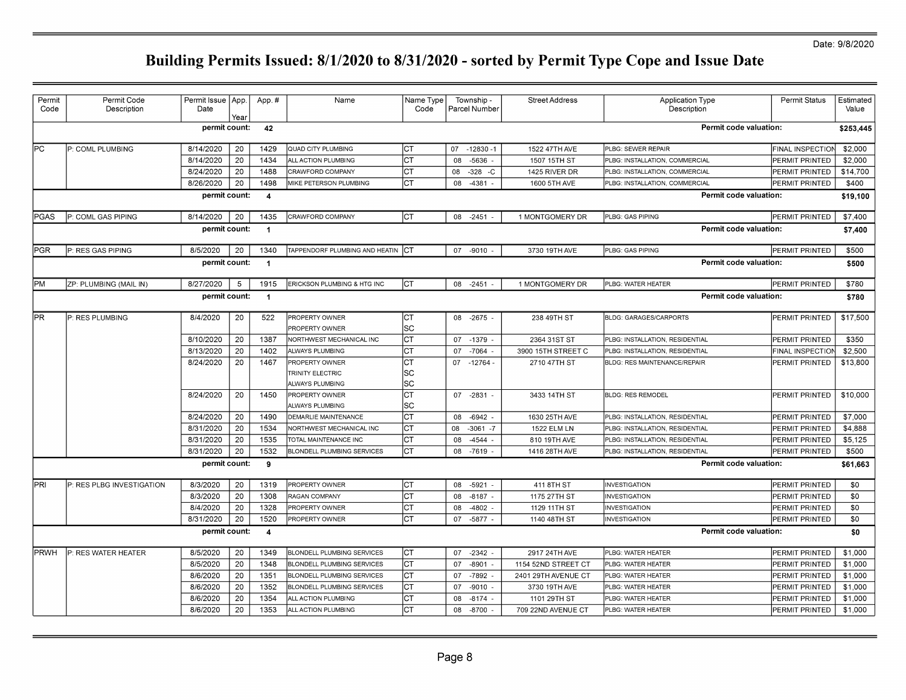| Permit<br>Code | Permit Code<br>Description | Permit Issue   App.<br>Date |                 | App.#                | Name                              | Name Type<br>Code | Township -<br>Parcel Number | <b>Street Address</b> | <b>Application Type</b><br>Description | <b>Permit Status</b> | Estimated<br>Value |
|----------------|----------------------------|-----------------------------|-----------------|----------------------|-----------------------------------|-------------------|-----------------------------|-----------------------|----------------------------------------|----------------------|--------------------|
|                |                            | permit count:               | Year            | 42                   |                                   |                   |                             |                       | Permit code valuation:                 |                      | \$253,445          |
|                |                            |                             |                 |                      |                                   |                   |                             |                       |                                        |                      |                    |
| lPC            | P: COML PLUMBING           | 8/14/2020                   | 20              | 1429                 | QUAD CITY PLUMBING                | Iст               | 07<br>$-12830 - 1$          | 1522 47TH AVE         | PLBG: SEWER REPAIR                     | FINAL INSPECTION     | \$2,000            |
|                |                            | 8/14/2020                   | 20              | 1434                 | ALL ACTION PLUMBING               | lст               | 08<br>-5636                 | 1507 15TH ST          | PLBG: INSTALLATION, COMMERCIAL         | PERMIT PRINTED       | \$2,000            |
|                |                            | 8/24/2020                   | 20              | 1488                 | CRAWFORD COMPANY                  | <b>CT</b>         | 08<br>-328<br>-C            | 1425 RIVER DR         | PLBG: INSTALLATION, COMMERCIAL         | PERMIT PRINTED       | \$14,700           |
|                |                            | 8/26/2020                   | 20              | 1498                 | MIKE PETERSON PLUMBING            | <b>CT</b>         | 08<br>$-4381$               | 1600 5TH AVE          | PLBG: INSTALLATION, COMMERCIAL         | PERMIT PRINTED       | \$400              |
|                |                            | permit count:               |                 | 4                    |                                   |                   |                             |                       | Permit code valuation:                 |                      | \$19,100           |
| <b>PGAS</b>    | P: COML GAS PIPING         | 8/14/2020                   | 20              | 1435                 | CRAWFORD COMPANY                  | Iст               | 08 -2451 -                  | 1 MONTGOMERY DR       | PLBG: GAS PIPING                       | PERMIT PRINTED       | \$7,400            |
|                |                            | permit count:               |                 | $\blacktriangleleft$ |                                   |                   |                             |                       | Permit code valuation:                 |                      | \$7,400            |
| PGR            | P: RES GAS PIPING          | 8/5/2020                    | 20              | 1340                 | TAPPENDORF PLUMBING AND HEATIN    | Іст               | 07<br>$-9010$               | 3730 19TH AVE         | PLBG: GAS PIPING                       | PERMIT PRINTED       | \$500              |
|                |                            | permit count:               |                 | $\blacktriangleleft$ |                                   |                   |                             |                       | Permit code valuation:                 |                      | \$500              |
| PM             | ZP: PLUMBING (MAIL IN)     | 8/27/2020                   | $5\overline{5}$ | 1915                 | ERICKSON PLUMBING & HTG INC       | Iст               | 08 -2451 -                  | 1 MONTGOMERY DR       | PLBG: WATER HEATER                     | PERMIT PRINTED       | \$780              |
|                |                            | permit count:               |                 | $\overline{1}$       |                                   |                   |                             |                       | Permit code valuation:                 |                      | \$780              |
| <b>PR</b>      | P: RES PLUMBING            | 8/4/2020                    | 20              | 522                  | PROPERTY OWNER<br>PROPERTY OWNER  | Iст<br><b>SC</b>  | 08 -2675 -                  | 238 49TH ST           | <b>BLDG: GARAGES/CARPORTS</b>          | PERMIT PRINTED       | \$17,500           |
|                |                            | 8/10/2020                   | 20              | 1387                 | NORTHWEST MECHANICAL INC          | Iст               | 07 -1379                    | 2364 31ST ST          | PLBG: INSTALLATION, RESIDENTIAL        | PERMIT PRINTED       | \$350              |
|                |                            | 8/13/2020                   | 20              | 1402                 | ALWAYS PLUMBING                   | Iст               | $-7064$ .<br>07             | 3900 15TH STREET C    | PLBG: INSTALLATION, RESIDENTIAL        | FINAL INSPECTION     | \$2,500            |
|                |                            | 8/24/2020                   | 20              | 1467                 | PROPERTY OWNER                    | Iст               | 07 -12764 -                 | 2710 47TH ST          | BLDG: RES MAINTENANCE/REPAIR           | PERMIT PRINTED       | \$13,800           |
|                |                            |                             |                 |                      | TRINITY ELECTRIC                  | lsc               |                             |                       |                                        |                      |                    |
|                |                            |                             |                 |                      | ALWAYS PLUMBING                   | SC                |                             |                       |                                        |                      |                    |
|                |                            | 8/24/2020                   | 20              | 1450                 | PROPERTY OWNER<br>ALWAYS PLUMBING | <b>CT</b><br>SC   | 07 -2831 -                  | 3433 14TH ST          | <b>BLDG: RES REMODEL</b>               | PERMIT PRINTED       | \$10,000           |
|                |                            | 8/24/2020                   | 20              | 1490                 | DEMARLIE MAINTENANCE              | Iст               | 08<br>$-6942$               | 1630 25TH AVE         | PLBG: INSTALLATION, RESIDENTIAL        | PERMIT PRINTED       | \$7,000            |
|                |                            | 8/31/2020                   | 20              | 1534                 | NORTHWEST MECHANICAL INC          | IСТ               | 08<br>$-3061 - 7$           | <b>1522 ELM LN</b>    | PLBG: INSTALLATION, RESIDENTIAL        | PERMIT PRINTED       | \$4,888            |
|                |                            | 8/31/2020                   | 20              | 1535                 | TOTAL MAINTENANCE INC             | <b>CT</b>         | 08<br>$-4544$ -             | 810 19TH AVE          | PLBG: INSTALLATION, RESIDENTIAL        | PERMIT PRINTED       | \$5,125            |
|                |                            | 8/31/2020                   | 20              | 1532                 | BLONDELL PLUMBING SERVICES        | IСТ               | $-7619$ -<br>08             | 1416 28TH AVE         | PLBG: INSTALLATION, RESIDENTIAL        | PERMIT PRINTED       | \$500              |
|                |                            | permit count:               |                 | 9                    |                                   |                   |                             |                       | Permit code valuation:                 |                      | \$61,663           |
| <b>PRI</b>     | P: RES PLBG INVESTIGATION  | 8/3/2020                    | 20              | 1319                 | PROPERTY OWNER                    | Іст               | $-5921$<br>08               | 411 8TH ST            | <b>INVESTIGATION</b>                   | PERMIT PRINTED       | \$0                |
|                |                            | 8/3/2020                    | 20              | 1308                 | RAGAN COMPANY                     | lст               | 08<br>$-8187 -$             | 1175 27TH ST          | <b>NVESTIGATION</b>                    | PERMIT PRINTED       | \$0                |
|                |                            | 8/4/2020                    | 20              | 1328                 | PROPERTY OWNER                    | Iст               | 08<br>$-4802 -$             | 1129 11TH ST          | <b>NVESTIGATION</b>                    | PERMIT PRINTED       | \$0                |
|                |                            | 8/31/2020                   | 20              | 1520                 | PROPERTY OWNER                    | Іст               | $-5877 -$<br>07             | 1140 48TH ST          | <b>INVESTIGATION</b>                   | PERMIT PRINTED       | \$0                |
|                |                            | permit count:               |                 | $\overline{\bf{4}}$  |                                   |                   |                             |                       | Permit code valuation:                 |                      | \$0                |
| <b>IPRWH</b>   | P: RES WATER HEATER        | 8/5/2020                    | 20              | 1349                 | <b>BLONDELL PLUMBING SERVICES</b> | Iст               | 07<br>$-2342 -$             | 2917 24TH AVE         | PLBG: WATER HEATER                     | PERMIT PRINTED       | \$1,000            |
|                |                            | 8/5/2020                    | 20              | 1348                 | <b>BLONDELL PLUMBING SERVICES</b> | <b>CT</b>         | $-8901$<br>07               | 1154 52ND STREET CT   | PLBG: WATER HEATER                     | PERMIT PRINTED       | \$1,000            |
|                |                            | 8/6/2020                    | 20              | 1351                 | <b>BLONDELL PLUMBING SERVICES</b> | Iст               | 07<br>$-7892$               | 2401 29TH AVENUE CT   | PLBG: WATER HEATER                     | PERMIT PRINTED       | \$1,000            |
|                |                            | 8/6/2020                    | 20              | 1352                 | <b>BLONDELL PLUMBING SERVICES</b> | Iст               | $-9010 -$<br>07             | 3730 19TH AVE         | PLBG: WATER HEATER                     | PERMIT PRINTED       | \$1,000            |
|                |                            | 8/6/2020                    | 20              | 1354                 | ALL ACTION PLUMBING               | CT                | $-8174$<br>08               | 1101 29TH ST          | PLBG: WATER HEATER                     | PERMIT PRINTED       | \$1,000            |
|                |                            | 8/6/2020                    | 20              | 1353                 | ALL ACTION PLUMBING               | lст               | 08 -8700                    | 709 22ND AVENUE CT    | PLBG: WATER HEATER                     | PERMIT PRINTED       | \$1,000            |